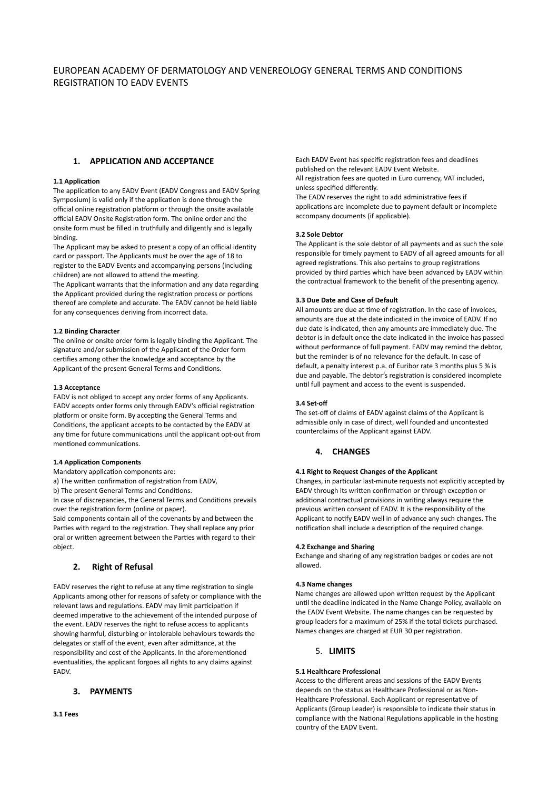# **1. APPLICATION AND ACCEPTANCE**

## **1.1 Application**

The application to any EADV Event (EADV Congress and EADV Spring Symposium) is valid only if the application is done through the official online registration platform or through the onsite available official EADV Onsite Registration form. The online order and the onsite form must be filled in truthfully and diligently and is legally binding.

The Applicant may be asked to present a copy of an official identity card or passport. The Applicants must be over the age of 18 to register to the EADV Events and accompanying persons (including children) are not allowed to attend the meeting.

The Applicant warrants that the information and any data regarding the Applicant provided during the registration process or portions thereof are complete and accurate. The EADV cannot be held liable for any consequences deriving from incorrect data.

### **1.2 Binding Character**

The online or onsite order form is legally binding the Applicant. The signature and/or submission of the Applicant of the Order form certifies among other the knowledge and acceptance by the Applicant of the present General Terms and Conditions.

### **1.3 Acceptance**

EADV is not obliged to accept any order forms of any Applicants. EADV accepts order forms only through EADV's official registration platform or onsite form. By accepting the General Terms and Conditions, the applicant accepts to be contacted by the EADV at any time for future communications until the applicant opt-out from mentioned communications.

## **1.4 Application Components**

Mandatory application components are:

a) The written confirmation of registration from EADV,

b) The present General Terms and Conditions.

In case of discrepancies, the General Terms and Conditions prevails over the registration form (online or paper).

Said components contain all of the covenants by and between the Parties with regard to the registration. They shall replace any prior oral or written agreement between the Parties with regard to their object.

# **2. Right of Refusal**

EADV reserves the right to refuse at any time registration to single Applicants among other for reasons of safety or compliance with the relevant laws and regulations. EADV may limit participation if deemed imperative to the achievement of the intended purpose of the event. EADV reserves the right to refuse access to applicants showing harmful, disturbing or intolerable behaviours towards the delegates or staff of the event, even after admittance, at the responsibility and cost of the Applicants. In the aforementioned eventualities, the applicant forgoes all rights to any claims against EADV.

# **3. PAYMENTS**

Each EADV Event has specific registration fees and deadlines published on the relevant EADV Event Website.

All registration fees are quoted in Euro currency, VAT included, unless specified differently.

The EADV reserves the right to add administrative fees if applications are incomplete due to payment default or incomplete accompany documents (if applicable).

## **3.2 Sole Debtor**

The Applicant is the sole debtor of all payments and as such the sole responsible for timely payment to EADV of all agreed amounts for all agreed registrations. This also pertains to group registrations provided by third parties which have been advanced by EADV within the contractual framework to the benefit of the presenting agency.

## **3.3 Due Date and Case of Default**

All amounts are due at time of registration. In the case of invoices, amounts are due at the date indicated in the invoice of EADV. If no due date is indicated, then any amounts are immediately due. The debtor is in default once the date indicated in the invoice has passed without performance of full payment. EADV may remind the debtor, but the reminder is of no relevance for the default. In case of default, a penalty interest p.a. of Euribor rate 3 months plus 5 % is due and payable. The debtor's registration is considered incomplete until full payment and access to the event is suspended.

# **3.4 Set-off**

The set-off of claims of EADV against claims of the Applicant is admissible only in case of direct, well founded and uncontested counterclaims of the Applicant against EADV.

# **4. CHANGES**

## **4.1 Right to Request Changes of the Applicant**

Changes, in particular last-minute requests not explicitly accepted by EADV through its written confirmation or through exception or additional contractual provisions in writing always require the previous written consent of EADV. It is the responsibility of the Applicant to notify EADV well in of advance any such changes. The notification shall include a description of the required change.

### **4.2 Exchange and Sharing**

Exchange and sharing of any registration badges or codes are not allowed.

# **4.3 Name changes**

Name changes are allowed upon written request by the Applicant until the deadline indicated in the Name Change Policy, available on the EADV Event Website. The name changes can be requested by group leaders for a maximum of 25% if the total tickets purchased. Names changes are charged at EUR 30 per registration.

# 5. **LIMITS**

# **5.1 Healthcare Professional**

Access to the different areas and sessions of the EADV Events depends on the status as Healthcare Professional or as Non-Healthcare Professional. Each Applicant or representative of Applicants (Group Leader) is responsible to indicate their status in compliance with the National Regulations applicable in the hosting country of the EADV Event.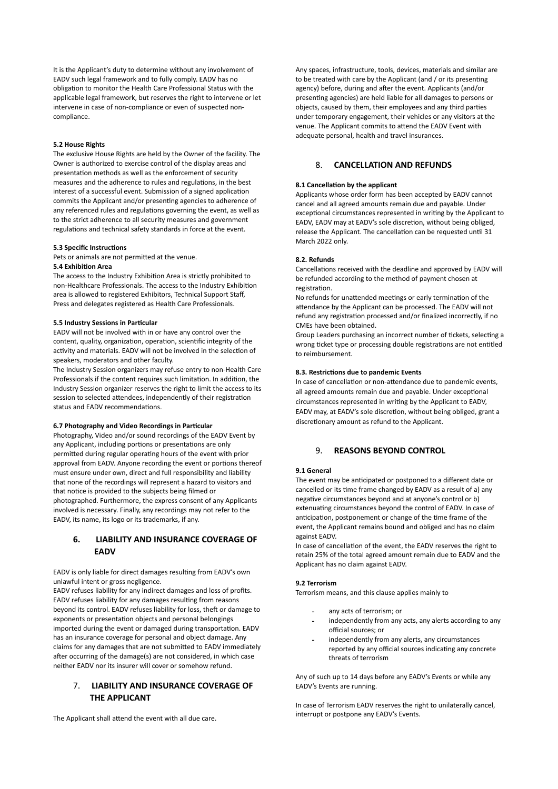It is the Applicant's duty to determine without any involvement of EADV such legal framework and to fully comply. EADV has no obligation to monitor the Health Care Professional Status with the applicable legal framework, but reserves the right to intervene or let intervene in case of non-compliance or even of suspected noncompliance.

## **5.2 House Rights**

The exclusive House Rights are held by the Owner of the facility. The Owner is authorized to exercise control of the display areas and presentation methods as well as the enforcement of security measures and the adherence to rules and regulations, in the best interest of a successful event. Submission of a signed application commits the Applicant and/or presenting agencies to adherence of any referenced rules and regulations governing the event, as well as to the strict adherence to all security measures and government regulations and technical safety standards in force at the event.

### **5.3 Specific Instructions**

Pets or animals are not permitted at the venue.

# **5.4 Exhibition Area**

The access to the Industry Exhibition Area is strictly prohibited to non-Healthcare Professionals. The access to the Industry Exhibition area is allowed to registered Exhibitors, Technical Support Staff, Press and delegates registered as Health Care Professionals.

### **5.5 Industry Sessions in Particular**

EADV will not be involved with in or have any control over the content, quality, organization, operation, scientific integrity of the activity and materials. EADV will not be involved in the selection of speakers, moderators and other faculty.

The Industry Session organizers may refuse entry to non-Health Care Professionals if the content requires such limitation. In addition, the Industry Session organizer reserves the right to limit the access to its session to selected attendees, independently of their registration status and EADV recommendations.

### **6.7 Photography and Video Recordings in Particular**

Photography, Video and/or sound recordings of the EADV Event by any Applicant, including portions or presentations are only permitted during regular operating hours of the event with prior approval from EADV. Anyone recording the event or portions thereof must ensure under own, direct and full responsibility and liability that none of the recordings will represent a hazard to visitors and that notice is provided to the subjects being filmed or photographed. Furthermore, the express consent of any Applicants involved is necessary. Finally, any recordings may not refer to the EADV, its name, its logo or its trademarks, if any.

# **6. LIABILITY AND INSURANCE COVERAGE OF EADV**

EADV is only liable for direct damages resulting from EADV's own unlawful intent or gross negligence.

EADV refuses liability for any indirect damages and loss of profits. EADV refuses liability for any damages resulting from reasons beyond its control. EADV refuses liability for loss, theft or damage to exponents or presentation objects and personal belongings imported during the event or damaged during transportation. EADV has an insurance coverage for personal and object damage. Any claims for any damages that are not submitted to EADV immediately after occurring of the damage(s) are not considered, in which case neither EADV nor its insurer will cover or somehow refund.

# 7. **LIABILITY AND INSURANCE COVERAGE OF THE APPLICANT**

The Applicant shall attend the event with all due care.

Any spaces, infrastructure, tools, devices, materials and similar are to be treated with care by the Applicant (and / or its presenting agency) before, during and after the event. Applicants (and/or presenting agencies) are held liable for all damages to persons or objects, caused by them, their employees and any third parties under temporary engagement, their vehicles or any visitors at the venue. The Applicant commits to attend the EADV Event with adequate personal, health and travel insurances.

# 8. **CANCELLATION AND REFUNDS**

#### **8.1 Cancellation by the applicant**

Applicants whose order form has been accepted by EADV cannot cancel and all agreed amounts remain due and payable. Under exceptional circumstances represented in writing by the Applicant to EADV, EADV may at EADV's sole discretion, without being obliged, release the Applicant. The cancellation can be requested until 31 March 2022 only.

## **8.2. Refunds**

Cancellations received with the deadline and approved by EADV will be refunded according to the method of payment chosen at registration.

No refunds for unattended meetings or early termination of the attendance by the Applicant can be processed. The EADV will not refund any registration processed and/or finalized incorrectly, if no CMEs have been obtained.

Group Leaders purchasing an incorrect number of tickets, selecting a wrong ticket type or processing double registrations are not entitled to reimbursement.

### **8.3. Restrictions due to pandemic Events**

In case of cancellation or non-attendance due to pandemic events, all agreed amounts remain due and payable. Under exceptional circumstances represented in writing by the Applicant to EADV, EADV may, at EADV's sole discretion, without being obliged, grant a discretionary amount as refund to the Applicant.

# 9. **REASONS BEYOND CONTROL**

### **9.1 General**

The event may be anticipated or postponed to a different date or cancelled or its time frame changed by EADV as a result of a) any negative circumstances beyond and at anyone's control or b) extenuating circumstances beyond the control of EADV. In case of anticipation, postponement or change of the time frame of the event, the Applicant remains bound and obliged and has no claim against EADV.

In case of cancellation of the event, the EADV reserves the right to retain 25% of the total agreed amount remain due to EADV and the Applicant has no claim against EADV.

### **9.2 Terrorism**

Terrorism means, and this clause applies mainly to

- any acts of terrorism; or
- independently from any acts, any alerts according to any official sources; or
- independently from any alerts, any circumstances reported by any official sources indicating any concrete threats of terrorism

Any of such up to 14 days before any EADV's Events or while any EADV's Events are running.

In case of Terrorism EADV reserves the right to unilaterally cancel, interrupt or postpone any EADV's Events.